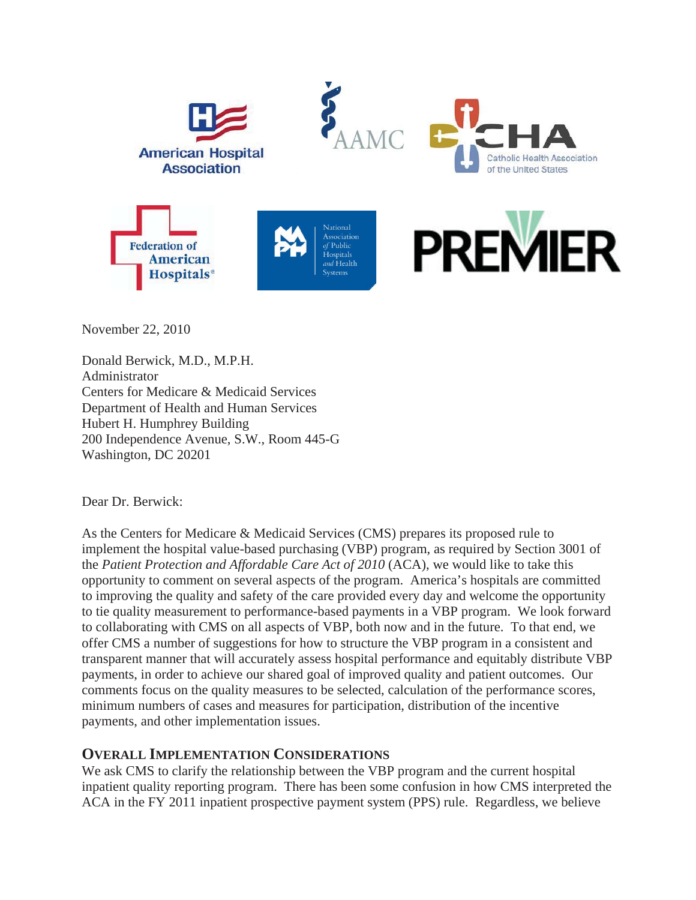

November 22, 2010

Donald Berwick, M.D., M.P.H. Administrator Centers for Medicare & Medicaid Services Department of Health and Human Services Hubert H. Humphrey Building 200 Independence Avenue, S.W., Room 445-G Washington, DC 20201

Dear Dr. Berwick:

As the Centers for Medicare & Medicaid Services (CMS) prepares its proposed rule to implement the hospital value-based purchasing (VBP) program, as required by Section 3001 of the *Patient Protection and Affordable Care Act of 2010* (ACA), we would like to take this opportunity to comment on several aspects of the program. America's hospitals are committed to improving the quality and safety of the care provided every day and welcome the opportunity to tie quality measurement to performance-based payments in a VBP program. We look forward to collaborating with CMS on all aspects of VBP, both now and in the future. To that end, we offer CMS a number of suggestions for how to structure the VBP program in a consistent and transparent manner that will accurately assess hospital performance and equitably distribute VBP payments, in order to achieve our shared goal of improved quality and patient outcomes. Our comments focus on the quality measures to be selected, calculation of the performance scores, minimum numbers of cases and measures for participation, distribution of the incentive payments, and other implementation issues.

## **OVERALL IMPLEMENTATION CONSIDERATIONS**

We ask CMS to clarify the relationship between the VBP program and the current hospital inpatient quality reporting program. There has been some confusion in how CMS interpreted the ACA in the FY 2011 inpatient prospective payment system (PPS) rule. Regardless, we believe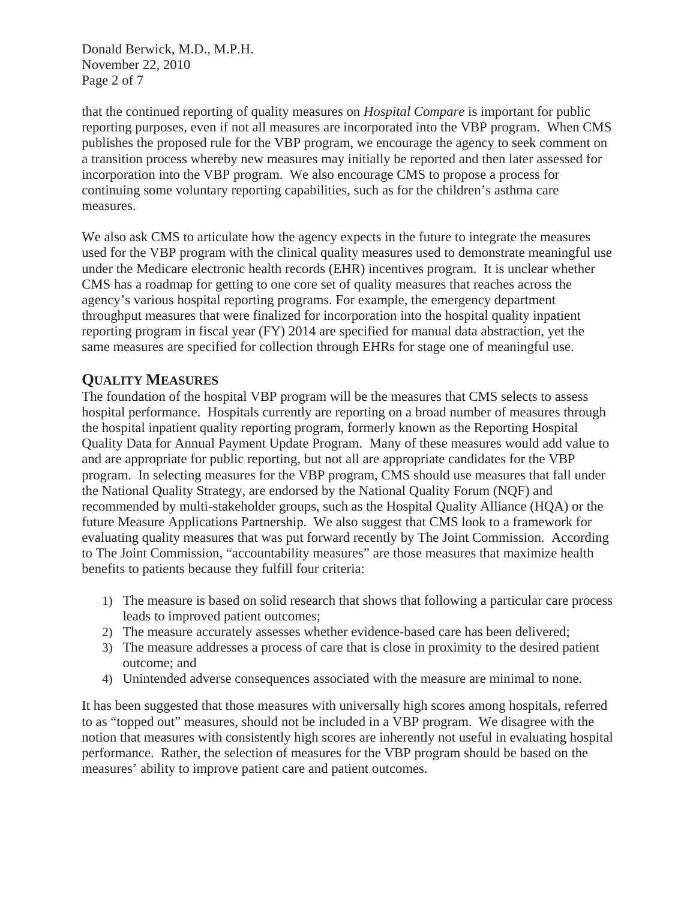Donald Berwick, M.D., M.P.H. November 22, 2010 Page 2 of 7

that the continued reporting of quality measures on *Hospital Compare* is important for public reporting purposes, even if not all measures are incorporated into the VBP program. When CMS publishes the proposed rule for the VBP program, we encourage the agency to seek comment on a transition process whereby new measures may initially be reported and then later assessed for incorporation into the VBP program. We also encourage CMS to propose a process for continuing some voluntary reporting capabilities, such as for the children's asthma care measures.

We also ask CMS to articulate how the agency expects in the future to integrate the measures used for the VBP program with the clinical quality measures used to demonstrate meaningful use under the Medicare electronic health records (EHR) incentives program. It is unclear whether CMS has a roadmap for getting to one core set of quality measures that reaches across the agency's various hospital reporting programs. For example, the emergency department throughput measures that were finalized for incorporation into the hospital quality inpatient reporting program in fiscal year (FY) 2014 are specified for manual data abstraction, yet the same measures are specified for collection through EHRs for stage one of meaningful use.

# **QUALITY MEASURES**

The foundation of the hospital VBP program will be the measures that CMS selects to assess hospital performance. Hospitals currently are reporting on a broad number of measures through the hospital inpatient quality reporting program, formerly known as the Reporting Hospital Quality Data for Annual Payment Update Program. Many of these measures would add value to and are appropriate for public reporting, but not all are appropriate candidates for the VBP program. In selecting measures for the VBP program, CMS should use measures that fall under the National Quality Strategy, are endorsed by the National Quality Forum (NQF) and recommended by multi-stakeholder groups, such as the Hospital Quality Alliance (HQA) or the future Measure Applications Partnership. We also suggest that CMS look to a framework for evaluating quality measures that was put forward recently by The Joint Commission. According to The Joint Commission, "accountability measures" are those measures that maximize health benefits to patients because they fulfill four criteria:

- 1) The measure is based on solid research that shows that following a particular care process leads to improved patient outcomes;
- 2) The measure accurately assesses whether evidence-based care has been delivered;
- 3) The measure addresses a process of care that is close in proximity to the desired patient outcome; and
- 4) Unintended adverse consequences associated with the measure are minimal to none.

It has been suggested that those measures with universally high scores among hospitals, referred to as "topped out" measures, should not be included in a VBP program. We disagree with the notion that measures with consistently high scores are inherently not useful in evaluating hospital performance. Rather, the selection of measures for the VBP program should be based on the measures' ability to improve patient care and patient outcomes.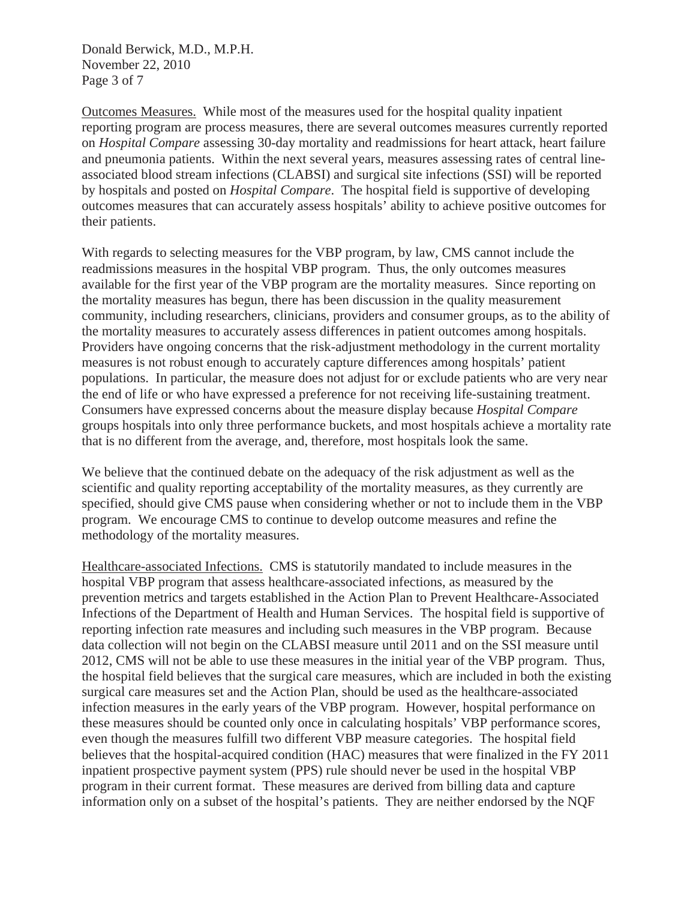Donald Berwick, M.D., M.P.H. November 22, 2010 Page 3 of 7

Outcomes Measures. While most of the measures used for the hospital quality inpatient reporting program are process measures, there are several outcomes measures currently reported on *Hospital Compare* assessing 30-day mortality and readmissions for heart attack, heart failure and pneumonia patients. Within the next several years, measures assessing rates of central lineassociated blood stream infections (CLABSI) and surgical site infections (SSI) will be reported by hospitals and posted on *Hospital Compare*. The hospital field is supportive of developing outcomes measures that can accurately assess hospitals' ability to achieve positive outcomes for their patients.

With regards to selecting measures for the VBP program, by law, CMS cannot include the readmissions measures in the hospital VBP program. Thus, the only outcomes measures available for the first year of the VBP program are the mortality measures. Since reporting on the mortality measures has begun, there has been discussion in the quality measurement community, including researchers, clinicians, providers and consumer groups, as to the ability of the mortality measures to accurately assess differences in patient outcomes among hospitals. Providers have ongoing concerns that the risk-adjustment methodology in the current mortality measures is not robust enough to accurately capture differences among hospitals' patient populations. In particular, the measure does not adjust for or exclude patients who are very near the end of life or who have expressed a preference for not receiving life-sustaining treatment. Consumers have expressed concerns about the measure display because *Hospital Compare* groups hospitals into only three performance buckets, and most hospitals achieve a mortality rate that is no different from the average, and, therefore, most hospitals look the same.

We believe that the continued debate on the adequacy of the risk adjustment as well as the scientific and quality reporting acceptability of the mortality measures, as they currently are specified, should give CMS pause when considering whether or not to include them in the VBP program. We encourage CMS to continue to develop outcome measures and refine the methodology of the mortality measures.

Healthcare-associated Infections. CMS is statutorily mandated to include measures in the hospital VBP program that assess healthcare-associated infections, as measured by the prevention metrics and targets established in the Action Plan to Prevent Healthcare-Associated Infections of the Department of Health and Human Services. The hospital field is supportive of reporting infection rate measures and including such measures in the VBP program. Because data collection will not begin on the CLABSI measure until 2011 and on the SSI measure until 2012, CMS will not be able to use these measures in the initial year of the VBP program. Thus, the hospital field believes that the surgical care measures, which are included in both the existing surgical care measures set and the Action Plan, should be used as the healthcare-associated infection measures in the early years of the VBP program. However, hospital performance on these measures should be counted only once in calculating hospitals' VBP performance scores, even though the measures fulfill two different VBP measure categories. The hospital field believes that the hospital-acquired condition (HAC) measures that were finalized in the FY 2011 inpatient prospective payment system (PPS) rule should never be used in the hospital VBP program in their current format. These measures are derived from billing data and capture information only on a subset of the hospital's patients. They are neither endorsed by the NQF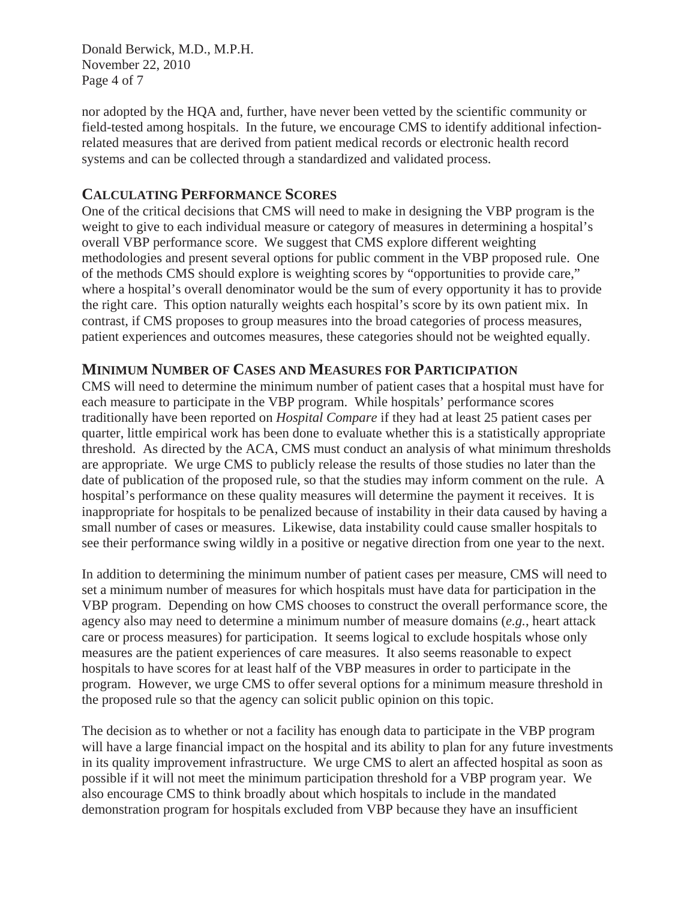Donald Berwick, M.D., M.P.H. November 22, 2010 Page 4 of 7

nor adopted by the HQA and, further, have never been vetted by the scientific community or field-tested among hospitals. In the future, we encourage CMS to identify additional infectionrelated measures that are derived from patient medical records or electronic health record systems and can be collected through a standardized and validated process.

#### **CALCULATING PERFORMANCE SCORES**

One of the critical decisions that CMS will need to make in designing the VBP program is the weight to give to each individual measure or category of measures in determining a hospital's overall VBP performance score. We suggest that CMS explore different weighting methodologies and present several options for public comment in the VBP proposed rule. One of the methods CMS should explore is weighting scores by "opportunities to provide care," where a hospital's overall denominator would be the sum of every opportunity it has to provide the right care. This option naturally weights each hospital's score by its own patient mix. In contrast, if CMS proposes to group measures into the broad categories of process measures, patient experiences and outcomes measures, these categories should not be weighted equally.

## **MINIMUM NUMBER OF CASES AND MEASURES FOR PARTICIPATION**

CMS will need to determine the minimum number of patient cases that a hospital must have for each measure to participate in the VBP program. While hospitals' performance scores traditionally have been reported on *Hospital Compare* if they had at least 25 patient cases per quarter, little empirical work has been done to evaluate whether this is a statistically appropriate threshold. As directed by the ACA, CMS must conduct an analysis of what minimum thresholds are appropriate. We urge CMS to publicly release the results of those studies no later than the date of publication of the proposed rule, so that the studies may inform comment on the rule. A hospital's performance on these quality measures will determine the payment it receives. It is inappropriate for hospitals to be penalized because of instability in their data caused by having a small number of cases or measures. Likewise, data instability could cause smaller hospitals to see their performance swing wildly in a positive or negative direction from one year to the next.

In addition to determining the minimum number of patient cases per measure, CMS will need to set a minimum number of measures for which hospitals must have data for participation in the VBP program. Depending on how CMS chooses to construct the overall performance score, the agency also may need to determine a minimum number of measure domains (*e.g.*, heart attack care or process measures) for participation. It seems logical to exclude hospitals whose only measures are the patient experiences of care measures. It also seems reasonable to expect hospitals to have scores for at least half of the VBP measures in order to participate in the program. However, we urge CMS to offer several options for a minimum measure threshold in the proposed rule so that the agency can solicit public opinion on this topic.

The decision as to whether or not a facility has enough data to participate in the VBP program will have a large financial impact on the hospital and its ability to plan for any future investments in its quality improvement infrastructure. We urge CMS to alert an affected hospital as soon as possible if it will not meet the minimum participation threshold for a VBP program year. We also encourage CMS to think broadly about which hospitals to include in the mandated demonstration program for hospitals excluded from VBP because they have an insufficient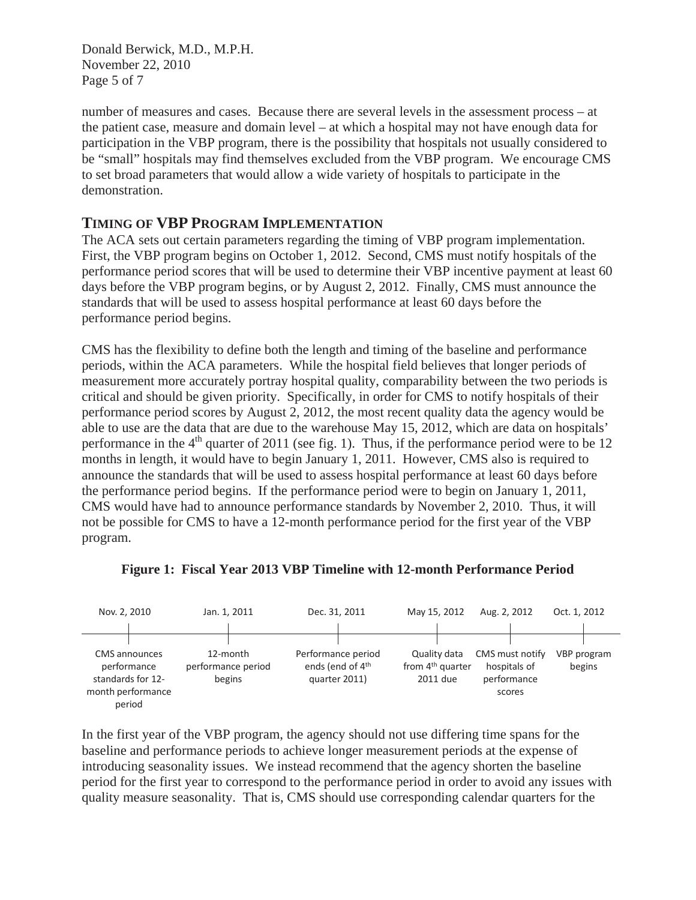Donald Berwick, M.D., M.P.H. November 22, 2010 Page 5 of 7

number of measures and cases. Because there are several levels in the assessment process – at the patient case, measure and domain level – at which a hospital may not have enough data for participation in the VBP program, there is the possibility that hospitals not usually considered to be "small" hospitals may find themselves excluded from the VBP program. We encourage CMS to set broad parameters that would allow a wide variety of hospitals to participate in the demonstration.

## **TIMING OF VBP PROGRAM IMPLEMENTATION**

The ACA sets out certain parameters regarding the timing of VBP program implementation. First, the VBP program begins on October 1, 2012. Second, CMS must notify hospitals of the performance period scores that will be used to determine their VBP incentive payment at least 60 days before the VBP program begins, or by August 2, 2012. Finally, CMS must announce the standards that will be used to assess hospital performance at least 60 days before the performance period begins.

CMS has the flexibility to define both the length and timing of the baseline and performance periods, within the ACA parameters. While the hospital field believes that longer periods of measurement more accurately portray hospital quality, comparability between the two periods is critical and should be given priority. Specifically, in order for CMS to notify hospitals of their performance period scores by August 2, 2012, the most recent quality data the agency would be able to use are the data that are due to the warehouse May 15, 2012, which are data on hospitals' performance in the  $4<sup>th</sup>$  quarter of 2011 (see fig. 1). Thus, if the performance period were to be 12 months in length, it would have to begin January 1, 2011. However, CMS also is required to announce the standards that will be used to assess hospital performance at least 60 days before the performance period begins. If the performance period were to begin on January 1, 2011, CMS would have had to announce performance standards by November 2, 2010. Thus, it will not be possible for CMS to have a 12-month performance period for the first year of the VBP program.



**Figure 1: Fiscal Year 2013 VBP Timeline with 12-month Performance Period** 

In the first year of the VBP program, the agency should not use differing time spans for the baseline and performance periods to achieve longer measurement periods at the expense of introducing seasonality issues. We instead recommend that the agency shorten the baseline period for the first year to correspond to the performance period in order to avoid any issues with quality measure seasonality. That is, CMS should use corresponding calendar quarters for the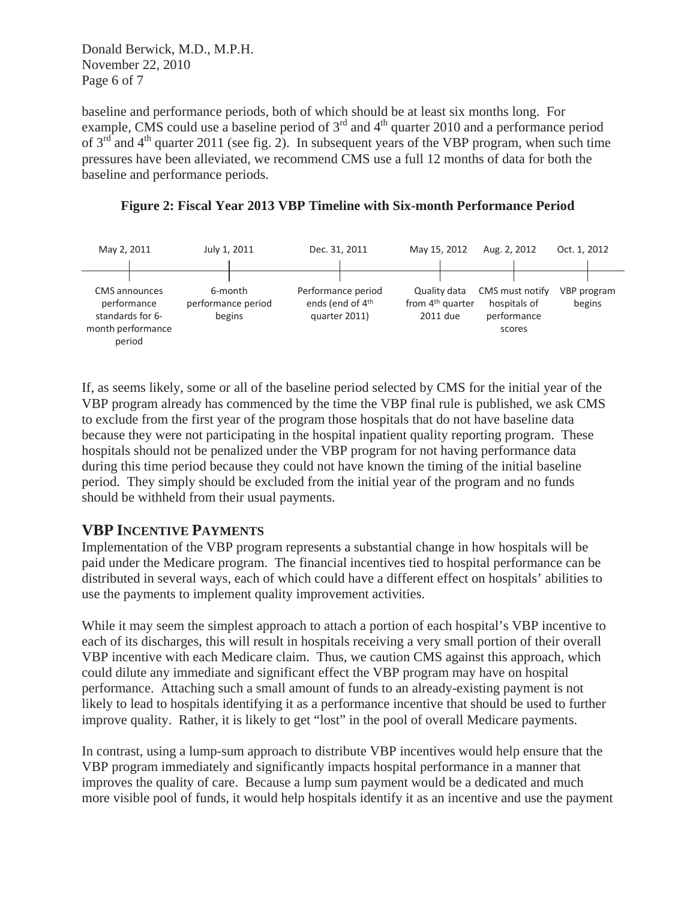Donald Berwick, M.D., M.P.H. November 22, 2010 Page 6 of 7

baseline and performance periods, both of which should be at least six months long. For example, CMS could use a baseline period of  $3<sup>rd</sup>$  and  $4<sup>th</sup>$  quarter 2010 and a performance period of  $3<sup>rd</sup>$  and  $4<sup>th</sup>$  quarter 2011 (see fig. 2). In subsequent years of the VBP program, when such time pressures have been alleviated, we recommend CMS use a full 12 months of data for both the baseline and performance periods.





If, as seems likely, some or all of the baseline period selected by CMS for the initial year of the VBP program already has commenced by the time the VBP final rule is published, we ask CMS to exclude from the first year of the program those hospitals that do not have baseline data because they were not participating in the hospital inpatient quality reporting program. These hospitals should not be penalized under the VBP program for not having performance data during this time period because they could not have known the timing of the initial baseline period. They simply should be excluded from the initial year of the program and no funds should be withheld from their usual payments.

#### **VBP INCENTIVE PAYMENTS**

Implementation of the VBP program represents a substantial change in how hospitals will be paid under the Medicare program. The financial incentives tied to hospital performance can be distributed in several ways, each of which could have a different effect on hospitals' abilities to use the payments to implement quality improvement activities.

While it may seem the simplest approach to attach a portion of each hospital's VBP incentive to each of its discharges, this will result in hospitals receiving a very small portion of their overall VBP incentive with each Medicare claim. Thus, we caution CMS against this approach, which could dilute any immediate and significant effect the VBP program may have on hospital performance. Attaching such a small amount of funds to an already-existing payment is not likely to lead to hospitals identifying it as a performance incentive that should be used to further improve quality. Rather, it is likely to get "lost" in the pool of overall Medicare payments.

In contrast, using a lump-sum approach to distribute VBP incentives would help ensure that the VBP program immediately and significantly impacts hospital performance in a manner that improves the quality of care. Because a lump sum payment would be a dedicated and much more visible pool of funds, it would help hospitals identify it as an incentive and use the payment